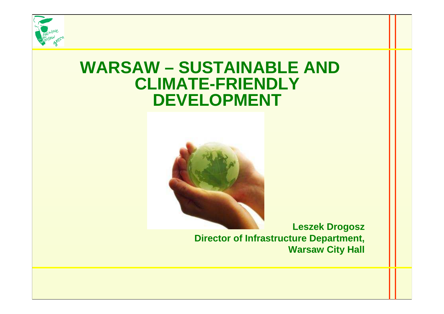

#### **WARSAW – SUSTAINABLE AND CLIMATE-FRIENDLY DEVELOPMENT**



**Leszek Drogosz Director of Infrastructure Department, Warsaw City Hall**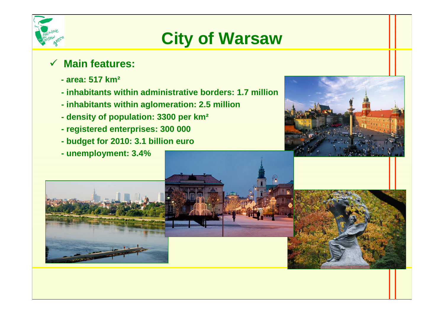

# **City of Warsaw**

#### $\sqrt{}$ **Main features:**

- **- area: 517 km²**
- **- inhabitants within administrative borders: 1.7 million**
- **- inhabitants within aglomeration: 2.5 million**
- **- density of population: 3300 per km²**
- **- registered enterprises: 300 000**
- **- budget for 2010: 3.1 billion euro**
- **- unemployment: 3.4%**

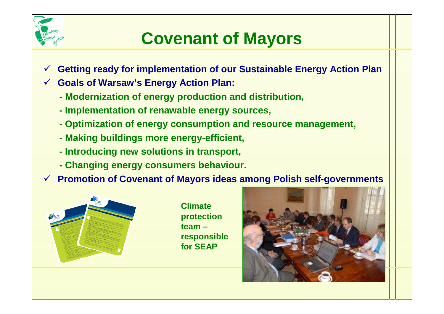

### **Covenant of Mayors**

- $\checkmark$ **Getting ready for implementation of our Sustainable Energy Action Plan**
- **Goals of Warsaw's Energy Action Plan:**
	- **- Modernization of energy production and distribution,**
	- **- Implementation of renawable energy sources,**
	- **- Optimization of energy consumption and resource management,**
	- **- Making buildings more energy-efficient,**
	- **- Introducing new solutions in transport,**
	- **- Changing energy consumers behaviour.**
- **Promotion of Covenant of Mayors ideas among Polish self-governments**



**Climate protection team – responsible for SEAP**

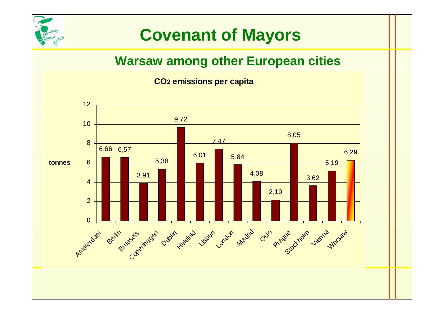

# **Covenant of Mayors**

#### **Warsaw among other European cities**

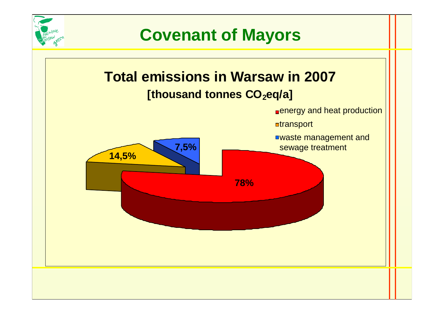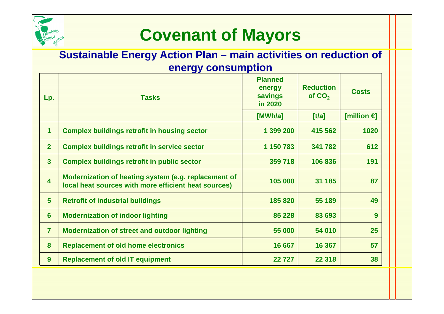

## **Covenant of Mayors**

#### **Sustainable Energy Action Plan – main activities on reduction of energy consumption**

| Lp.                     | <b>Tasks</b>                                                                                                 | <b>Planned</b><br>energy<br>savings<br>in 2020 | <b>Reduction</b><br>of $CO2$ | <b>Costs</b>          |
|-------------------------|--------------------------------------------------------------------------------------------------------------|------------------------------------------------|------------------------------|-----------------------|
|                         |                                                                                                              | [MWh/a]                                        | [t/a]                        | [million $\epsilon$ ] |
| 1                       | <b>Complex buildings retrofit in housing sector</b>                                                          | 1 399 200                                      | 415 562                      | 1020                  |
| $\overline{2}$          | <b>Complex buildings retrofit in service sector</b>                                                          | 1 150 783                                      | 341 782                      | 612                   |
| $\overline{3}$          | <b>Complex buildings retrofit in public sector</b>                                                           | 359 718                                        | 106 836                      | 191                   |
| $\overline{\mathbf{4}}$ | Modernization of heating system (e.g. replacement of<br>local heat sources with more efficient heat sources) | 105 000                                        | 31 185                       | 87                    |
| 5                       | <b>Retrofit of industrial buildings</b>                                                                      | 185 820                                        | 55 189                       | 49                    |
| 6                       | <b>Modernization of indoor lighting</b>                                                                      | 85 228                                         | 83 693                       | 9                     |
| $\overline{7}$          | <b>Modernization of street and outdoor lighting</b>                                                          | 55 000                                         | 54 010                       | 25                    |
| 8                       | <b>Replacement of old home electronics</b>                                                                   | 16 667                                         | 16 367                       | 57                    |
| 9                       | <b>Replacement of old IT equipment</b>                                                                       | 22727                                          | 22 3 18                      | 38                    |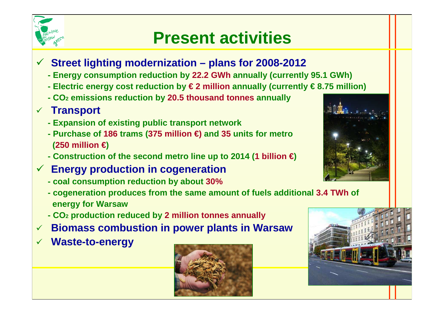

- **Street lighting modernization – plans for 2008-2012**
	- **- Energy consumption reduction by 22.2 GWh annually (currently 95.1 GWh)**
	- **- Electric energy cost reduction by € 2 millionannually (currently € 8.75 million)**
	- **- CO<sup>2</sup> emissions reduction by 20.5 thousand tonnes annually**

### **Transport**

- **- Expansion of existing public transport network**
- **- Purchase of 186 trams (375 million €)and <sup>35</sup> units for metro (250 million €)**
- **- Construction of the second metro line up to 2014 (1 billion €)**
- **Energy production in cogeneration**
	- **- coal consumption reduction by about 30%**
	- **- cogeneration produces from the same amount of fuels additional 3.4 TWh of energy for Warsaw**
	- **- CO<sup>2</sup> production reduced by 2 million tonnes annually**
- $\checkmark$ **Biomass combustion in power plants in Warsaw**
- $\checkmark$ **Waste-to-energy**